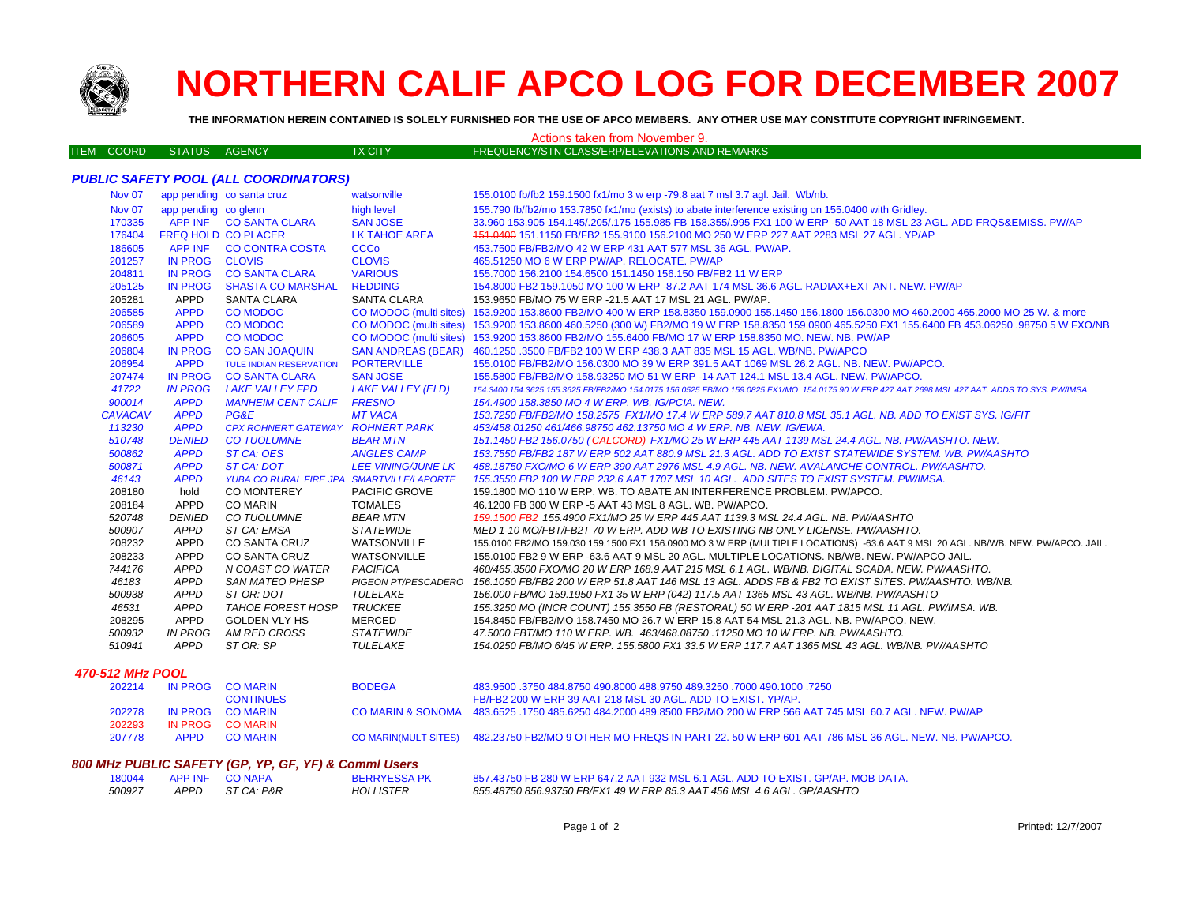

# **NORTHERN CALIF APCO LOG FOR DECEMBER 2007**

**THE INFORMATION HEREIN CONTAINED IS SOLELY FURNISHED FOR THE USE OF APCO MEMBERS. ANY OTHER USE MAY CONSTITUTE COPYRIGHT INFRINGEMENT.**

## ITEM COORD STATUS AGENCY TX CITY FREQUENCY/STN CLASS/ERP/ELEVATIONS AND REMARKS Actions taken from November 9.

## *PUBLIC SAFETY POOL (ALL COORDINATORS)*

| Nov 07         |                      | app pending co santa cruz                 | watsonville               | 155.0100 fb/fb2 159.1500 fx1/mo 3 w erp -79.8 aat 7 msl 3.7 agl. Jail. Wb/nb.                                                                    |
|----------------|----------------------|-------------------------------------------|---------------------------|--------------------------------------------------------------------------------------------------------------------------------------------------|
| <b>Nov 07</b>  | app pending co glenn |                                           | high level                | 155.790 fb/fb2/mo 153.7850 fx1/mo (exists) to abate interference existing on 155.0400 with Gridley.                                              |
| 170335         |                      | APP INF CO SANTA CLARA                    | <b>SAN JOSE</b>           | 33.960 153.905 154.145/.205/.175 155.985 FB 158.355/.995 FX1 100 W ERP -50 AAT 18 MSL 23 AGL, ADD FRQS&EMISS, PW/AP                              |
| 176404         |                      | <b>FREQ HOLD CO PLACER</b>                | <b>LK TAHOE AREA</b>      | 151,0400 151,1150 FB/FB2 155,9100 156,2100 MO 250 W ERP 227 AAT 2283 MSL 27 AGL. YP/AP                                                           |
| 186605         |                      | APP INF CO CONTRA COSTA                   | <b>CCCo</b>               | 453.7500 FB/FB2/MO 42 W ERP 431 AAT 577 MSL 36 AGL, PW/AP.                                                                                       |
| 201257         | IN PROG CLOVIS       |                                           | <b>CLOVIS</b>             | 465.51250 MO 6 W ERP PW/AP, RELOCATE, PW/AP                                                                                                      |
| 204811         |                      | IN PROG CO SANTA CLARA                    | <b>VARIOUS</b>            | 155,7000 156,2100 154,6500 151,1450 156,150 FB/FB2 11 W ERP                                                                                      |
| 205125         | <b>IN PROG</b>       | <b>SHASTA CO MARSHAL</b>                  | <b>REDDING</b>            | 154.8000 FB2 159.1050 MO 100 W ERP -87.2 AAT 174 MSL 36.6 AGL. RADIAX+EXT ANT. NEW. PW/AP                                                        |
| 205281         | APPD                 | <b>SANTA CLARA</b>                        | <b>SANTA CLARA</b>        | 153.9650 FB/MO 75 W ERP -21.5 AAT 17 MSL 21 AGL. PW/AP.                                                                                          |
| 206585         | <b>APPD</b>          | <b>CO MODOC</b>                           | CO MODOC (multi sites)    | 153,9200 153,8600 FB2/MO 400 W ERP 158,8350 159,0900 155,1450 156,1800 156,0300 MO 460,2000 465,2000 MO 25 W, & more                             |
| 206589         | <b>APPD</b>          | <b>CO MODOC</b>                           |                           | CO MODOC (multi sites) 153.9200 153.8600 460.5250 (300 W) FB2/MO 19 W ERP 158.8350 159.0900 465.5250 FX1 155.6400 FB 453.06250 .98750 5 W FXO/NB |
| 206605         | <b>APPD</b>          | <b>CO MODOC</b>                           |                           | CO MODOC (multi sites) 153.9200 153.8600 FB2/MO 155.6400 FB/MO 17 W ERP 158.8350 MO. NEW. NB. PW/AP                                              |
| 206804         | <b>IN PROG</b>       | <b>CO SAN JOAQUIN</b>                     |                           | SAN ANDREAS (BEAR) 460.1250 .3500 FB/FB2 100 W ERP 438.3 AAT 835 MSL 15 AGL. WB/NB. PW/APCO                                                      |
| 206954         | <b>APPD</b>          | <b>TULE INDIAN RESERVATION</b>            | <b>PORTERVILLE</b>        | 155.0100 FB/FB2/MO 156.0300 MO 39 W ERP 391.5 AAT 1069 MSL 26.2 AGL. NB. NEW. PW/APCO.                                                           |
| 207474         | <b>IN PROG</b>       | <b>CO SANTA CLARA</b>                     | <b>SAN JOSE</b>           | 155,5800 FB/FB2/MO 158,93250 MO 51 W ERP -14 AAT 124.1 MSL 13.4 AGL. NEW, PW/APCO,                                                               |
| 41722          | <b>IN PROG</b>       | LAKE VALLEY FPD                           | <b>LAKE VALLEY (ELD)</b>  | 154.3400 154.3625 155.3625 FB/FB2/MO 154.0175 156.0525 FB/MO 159.0825 FX1/MO 154.0175 90 W ERP 427 AAT 2698 MSL 427 AAT. ADDS TO SYS. PW/IMSA    |
| 900014         | <b>APPD</b>          | <b>MANHEIM CENT CALIF</b>                 | <b>FRESNO</b>             | 154.4900 158.3850 MO 4 W ERP. WB. IG/PCIA. NEW.                                                                                                  |
| <b>CAVACAV</b> | <b>APPD</b>          | PG&E                                      | <b>MT VACA</b>            | 153.7250 FB/FB2/MO 158.2575 FX1/MO 17.4 W ERP 589.7 AAT 810.8 MSL 35.1 AGL. NB, ADD TO EXIST SYS, IG/FIT                                         |
| 113230         | <b>APPD</b>          | CPX ROHNERT GATEWAY ROHNERT PARK          |                           | 453/458.01250 461/466.98750 462.13750 MO 4 W ERP. NB. NEW. IG/EWA.                                                                               |
| 510748         | <b>DENIED</b>        | <b>CO TUOLUMNE</b>                        | <b>BEAR MTN</b>           | 151.1450 FB2 156.0750 (CALCORD) FX1/MO 25 W ERP 445 AAT 1139 MSL 24.4 AGL. NB. PW/AASHTO. NEW.                                                   |
| 500862         | <b>APPD</b>          | ST CA: OES                                | <b>ANGLES CAMP</b>        | 153.7550 FB/FB2 187 W ERP 502 AAT 880.9 MSL 21.3 AGL. ADD TO EXIST STATEWIDE SYSTEM. WB. PW/AASHTO                                               |
| 500871         | <b>APPD</b>          | ST CA: DOT                                | <i>LEE VINING/JUNE LK</i> | 458.18750 FXO/MO 6 W ERP 390 AAT 2976 MSL 4.9 AGL. NB. NEW. AVALANCHE CONTROL. PW/AASHTO.                                                        |
| 46143          | <b>APPD</b>          | YUBA CO RURAL FIRE JPA SMARTVILLE/LAPORTE |                           | 155.3550 FB2 100 W ERP 232.6 AAT 1707 MSL 10 AGL. ADD SITES TO EXIST SYSTEM. PW/IMSA.                                                            |
| 208180         | hold                 | <b>CO MONTEREY</b>                        | PACIFIC GROVE             | 159.1800 MO 110 W ERP. WB. TO ABATE AN INTERFERENCE PROBLEM. PW/APCO.                                                                            |
| 208184         | <b>APPD</b>          | <b>CO MARIN</b>                           | <b>TOMALES</b>            | 46.1200 FB 300 W ERP -5 AAT 43 MSL 8 AGL. WB. PW/APCO.                                                                                           |
| 520748         | <b>DENIED</b>        | <b>CO TUOLUMNE</b>                        | <b>BEAR MTN</b>           | 159.1500 FB2 155.4900 FX1/MO 25 W ERP 445 AAT 1139.3 MSL 24.4 AGL. NB. PW/AASHTO                                                                 |
| 500907         | <b>APPD</b>          | ST CA: EMSA                               | <b>STATEWIDE</b>          | MED 1-10 MO/FBT/FB2T 70 W ERP. ADD WB TO EXISTING NB ONLY LICENSE. PW/AASHTO.                                                                    |
| 208232         | <b>APPD</b>          | <b>CO SANTA CRUZ</b>                      | WATSONVILLE               | 155.0100 FB2/MO 159.030 159.1500 FX1 156.0900 MO 3 W ERP (MULTIPLE LOCATIONS) -63.6 AAT 9 MSL 20 AGL. NB/WB. NEW. PW/APCO. JAIL.                 |
| 208233         | <b>APPD</b>          | CO SANTA CRUZ                             | WATSONVILLE               | 155,0100 FB2 9 W ERP -63.6 AAT 9 MSL 20 AGL. MULTIPLE LOCATIONS, NB/WB, NEW, PW/APCO JAIL.                                                       |
| 744176         | <b>APPD</b>          | N COAST CO WATER                          | <b>PACIFICA</b>           | 460/465.3500 FXO/MO 20 W ERP 168.9 AAT 215 MSL 6.1 AGL. WB/NB. DIGITAL SCADA. NEW. PW/AASHTO.                                                    |
| 46183          | <b>APPD</b>          | <b>SAN MATEO PHESP</b>                    | PIGEON PT/PESCADERO       | 156.1050 FB/FB2 200 W ERP 51.8 AAT 146 MSL 13 AGL. ADDS FB & FB2 TO EXIST SITES. PW/AASHTO. WB/NB.                                               |
| 500938         | <b>APPD</b>          | ST OR: DOT                                | TULELAKE                  | 156.000 FB/MO 159.1950 FX1 35 W ERP (042) 117.5 AAT 1365 MSL 43 AGL. WB/NB. PW/AASHTO                                                            |
| 46531          | <b>APPD</b>          | TAHOE FOREST HOSP                         | <b>TRUCKEE</b>            | 155.3250 MO (INCR COUNT) 155.3550 FB (RESTORAL) 50 W ERP -201 AAT 1815 MSL 11 AGL. PW/IMSA. WB.                                                  |
| 208295         | <b>APPD</b>          | <b>GOLDEN VLY HS</b>                      | MERCED                    | 154.8450 FB/FB2/MO 158.7450 MO 26.7 W ERP 15.8 AAT 54 MSL 21.3 AGL. NB. PW/APCO, NEW.                                                            |
| 500932         | <b>IN PROG</b>       | AM RED CROSS                              | <b>STATEWIDE</b>          | 47.5000 FBT/MO 110 W ERP. WB. 463/468.08750 .11250 MO 10 W ERP. NB. PW/AASHTO.                                                                   |
| 510941         | APPD                 | ST OR: SP                                 | TULELAKE                  | 154.0250 FB/MO 6/45 W ERP. 155.5800 FX1 33.5 W ERP 117.7 AAT 1365 MSL 43 AGL. WB/NB. PW/AASHTO                                                   |
|                |                      |                                           |                           |                                                                                                                                                  |

### *470-512 MHz POOL*

| 202214 | IN PROG CO MARIN | <b>BODEGA</b> | 483.9500 .3750 484.8750 490.8000 488.9750 489.3250 .7000 490.1000 .7250                                               |
|--------|------------------|---------------|-----------------------------------------------------------------------------------------------------------------------|
|        | <b>CONTINUES</b> |               | FB/FB2 200 W ERP 39 AAT 218 MSL 30 AGL. ADD TO EXIST. YP/AP.                                                          |
| 202278 | IN PROG CO MARIN |               | CO MARIN & SONOMA 483.6525 .1750 485.6250 484.2000 489.8500 FB2/MO 200 W ERP 566 AAT 745 MSL 60.7 AGL. NEW, PW/AP     |
| 202293 | IN PROG COMARIN  |               |                                                                                                                       |
| 207778 | APPD COMARIN     |               | CO MARIN(MULT SITES) 482.23750 FB2/MO 9 OTHER MO FREQS IN PART 22, 50 W ERP 601 AAT 786 MSL 36 AGL, NEW, NB, PW/APCO, |
|        |                  |               |                                                                                                                       |

#### *800 MHz PUBLIC SAFETY (GP, YP, GF, YF) & Comml Users*

| 180044 | <b>APP INF</b> | <b>CO NAPA</b> | <b>BERRYESSAP</b> |
|--------|----------------|----------------|-------------------|
| 500927 | APPD           | ST CA: P&R     | HOLLISTER         |

2K 857.43750 FB 280 W ERP 647.2 AAT 932 MSL 6.1 AGL. ADD TO EXIST. GP/AP. MOB DATA.  *APPD ST CA: P&R HOLLISTER 855.48750 856.93750 FB/FX1 49 W ERP 85.3 AAT 456 MSL 4.6 AGL. GP/AASHTO*